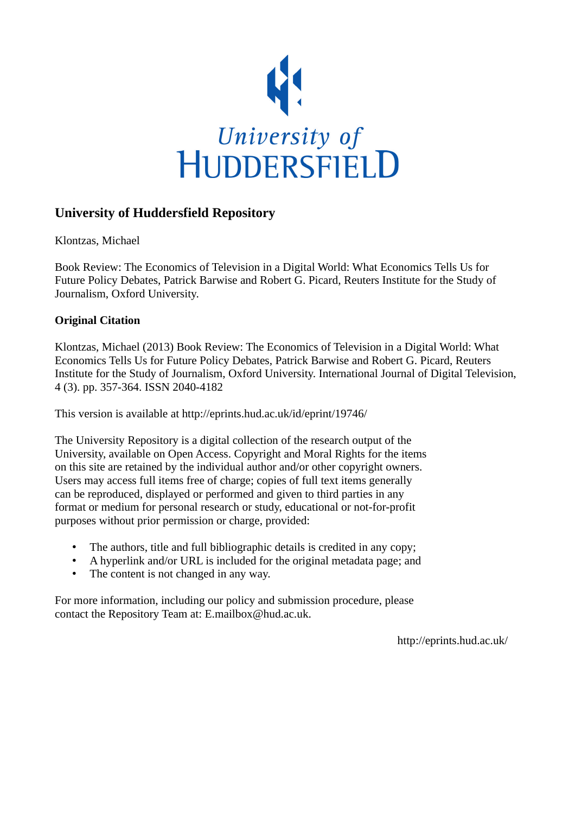

## **University of Huddersfield Repository**

Klontzas, Michael

Book Review: The Economics of Television in a Digital World: What Economics Tells Us for Future Policy Debates, Patrick Barwise and Robert G. Picard, Reuters Institute for the Study of Journalism, Oxford University.

## **Original Citation**

Klontzas, Michael (2013) Book Review: The Economics of Television in a Digital World: What Economics Tells Us for Future Policy Debates, Patrick Barwise and Robert G. Picard, Reuters Institute for the Study of Journalism, Oxford University. International Journal of Digital Television, 4 (3). pp. 357-364. ISSN 2040-4182

This version is available at http://eprints.hud.ac.uk/id/eprint/19746/

The University Repository is a digital collection of the research output of the University, available on Open Access. Copyright and Moral Rights for the items on this site are retained by the individual author and/or other copyright owners. Users may access full items free of charge; copies of full text items generally can be reproduced, displayed or performed and given to third parties in any format or medium for personal research or study, educational or not-for-profit purposes without prior permission or charge, provided:

- The authors, title and full bibliographic details is credited in any copy;
- A hyperlink and/or URL is included for the original metadata page; and
- The content is not changed in any way.

For more information, including our policy and submission procedure, please contact the Repository Team at: E.mailbox@hud.ac.uk.

http://eprints.hud.ac.uk/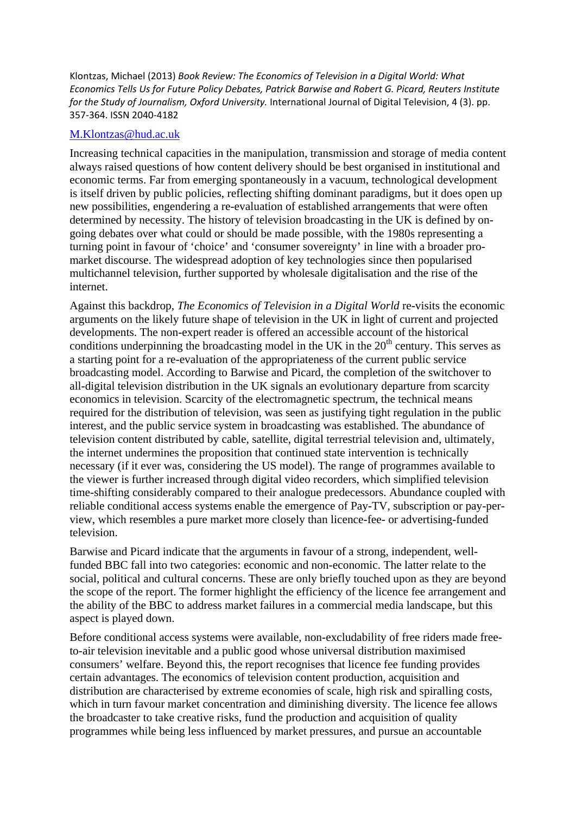Klontzas, Michael (2013) *Book Review: The Economics of Television in a Digital World: What Economics Tells Us for Future Policy Debates, Patrick Barwise and Robert G. Picard, Reuters Institute for the Study of Journalism, Oxford University.* International Journal of Digital Television, 4 (3). pp. 357‐364. ISSN 2040‐4182

## M.Klontzas@hud.ac.uk

Increasing technical capacities in the manipulation, transmission and storage of media content always raised questions of how content delivery should be best organised in institutional and economic terms. Far from emerging spontaneously in a vacuum, technological development is itself driven by public policies, reflecting shifting dominant paradigms, but it does open up new possibilities, engendering a re-evaluation of established arrangements that were often determined by necessity. The history of television broadcasting in the UK is defined by ongoing debates over what could or should be made possible, with the 1980s representing a turning point in favour of 'choice' and 'consumer sovereignty' in line with a broader promarket discourse. The widespread adoption of key technologies since then popularised multichannel television, further supported by wholesale digitalisation and the rise of the internet.

Against this backdrop, *The Economics of Television in a Digital World* re-visits the economic arguments on the likely future shape of television in the UK in light of current and projected developments. The non-expert reader is offered an accessible account of the historical conditions underpinning the broadcasting model in the UK in the  $20<sup>th</sup>$  century. This serves as a starting point for a re-evaluation of the appropriateness of the current public service broadcasting model. According to Barwise and Picard, the completion of the switchover to all-digital television distribution in the UK signals an evolutionary departure from scarcity economics in television. Scarcity of the electromagnetic spectrum, the technical means required for the distribution of television, was seen as justifying tight regulation in the public interest, and the public service system in broadcasting was established. The abundance of television content distributed by cable, satellite, digital terrestrial television and, ultimately, the internet undermines the proposition that continued state intervention is technically necessary (if it ever was, considering the US model). The range of programmes available to the viewer is further increased through digital video recorders, which simplified television time-shifting considerably compared to their analogue predecessors. Abundance coupled with reliable conditional access systems enable the emergence of Pay-TV, subscription or pay-perview, which resembles a pure market more closely than licence-fee- or advertising-funded television.

Barwise and Picard indicate that the arguments in favour of a strong, independent, wellfunded BBC fall into two categories: economic and non-economic. The latter relate to the social, political and cultural concerns. These are only briefly touched upon as they are beyond the scope of the report. The former highlight the efficiency of the licence fee arrangement and the ability of the BBC to address market failures in a commercial media landscape, but this aspect is played down.

Before conditional access systems were available, non-excludability of free riders made freeto-air television inevitable and a public good whose universal distribution maximised consumers' welfare. Beyond this, the report recognises that licence fee funding provides certain advantages. The economics of television content production, acquisition and distribution are characterised by extreme economies of scale, high risk and spiralling costs, which in turn favour market concentration and diminishing diversity. The licence fee allows the broadcaster to take creative risks, fund the production and acquisition of quality programmes while being less influenced by market pressures, and pursue an accountable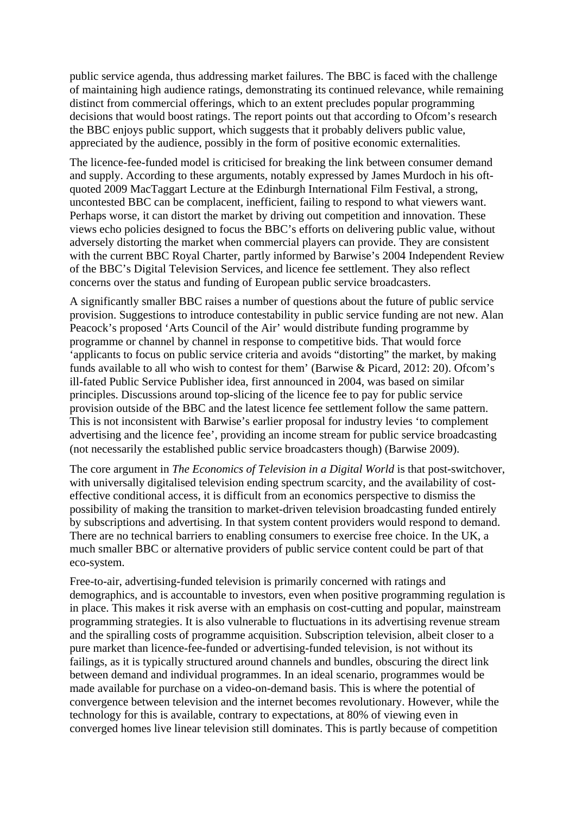public service agenda, thus addressing market failures. The BBC is faced with the challenge of maintaining high audience ratings, demonstrating its continued relevance, while remaining distinct from commercial offerings, which to an extent precludes popular programming decisions that would boost ratings. The report points out that according to Ofcom's research the BBC enjoys public support, which suggests that it probably delivers public value, appreciated by the audience, possibly in the form of positive economic externalities.

The licence-fee-funded model is criticised for breaking the link between consumer demand and supply. According to these arguments, notably expressed by James Murdoch in his oftquoted 2009 MacTaggart Lecture at the Edinburgh International Film Festival, a strong, uncontested BBC can be complacent, inefficient, failing to respond to what viewers want. Perhaps worse, it can distort the market by driving out competition and innovation. These views echo policies designed to focus the BBC's efforts on delivering public value, without adversely distorting the market when commercial players can provide. They are consistent with the current BBC Royal Charter, partly informed by Barwise's 2004 Independent Review of the BBC's Digital Television Services, and licence fee settlement. They also reflect concerns over the status and funding of European public service broadcasters.

A significantly smaller BBC raises a number of questions about the future of public service provision. Suggestions to introduce contestability in public service funding are not new. Alan Peacock's proposed 'Arts Council of the Air' would distribute funding programme by programme or channel by channel in response to competitive bids. That would force 'applicants to focus on public service criteria and avoids "distorting" the market, by making funds available to all who wish to contest for them' (Barwise & Picard, 2012: 20). Ofcom's ill-fated Public Service Publisher idea, first announced in 2004, was based on similar principles. Discussions around top-slicing of the licence fee to pay for public service provision outside of the BBC and the latest licence fee settlement follow the same pattern. This is not inconsistent with Barwise's earlier proposal for industry levies 'to complement advertising and the licence fee', providing an income stream for public service broadcasting (not necessarily the established public service broadcasters though) (Barwise 2009).

The core argument in *The Economics of Television in a Digital World* is that post-switchover, with universally digitalised television ending spectrum scarcity, and the availability of costeffective conditional access, it is difficult from an economics perspective to dismiss the possibility of making the transition to market-driven television broadcasting funded entirely by subscriptions and advertising. In that system content providers would respond to demand. There are no technical barriers to enabling consumers to exercise free choice. In the UK, a much smaller BBC or alternative providers of public service content could be part of that eco-system.

Free-to-air, advertising-funded television is primarily concerned with ratings and demographics, and is accountable to investors, even when positive programming regulation is in place. This makes it risk averse with an emphasis on cost-cutting and popular, mainstream programming strategies. It is also vulnerable to fluctuations in its advertising revenue stream and the spiralling costs of programme acquisition. Subscription television, albeit closer to a pure market than licence-fee-funded or advertising-funded television, is not without its failings, as it is typically structured around channels and bundles, obscuring the direct link between demand and individual programmes. In an ideal scenario, programmes would be made available for purchase on a video-on-demand basis. This is where the potential of convergence between television and the internet becomes revolutionary. However, while the technology for this is available, contrary to expectations, at 80% of viewing even in converged homes live linear television still dominates. This is partly because of competition